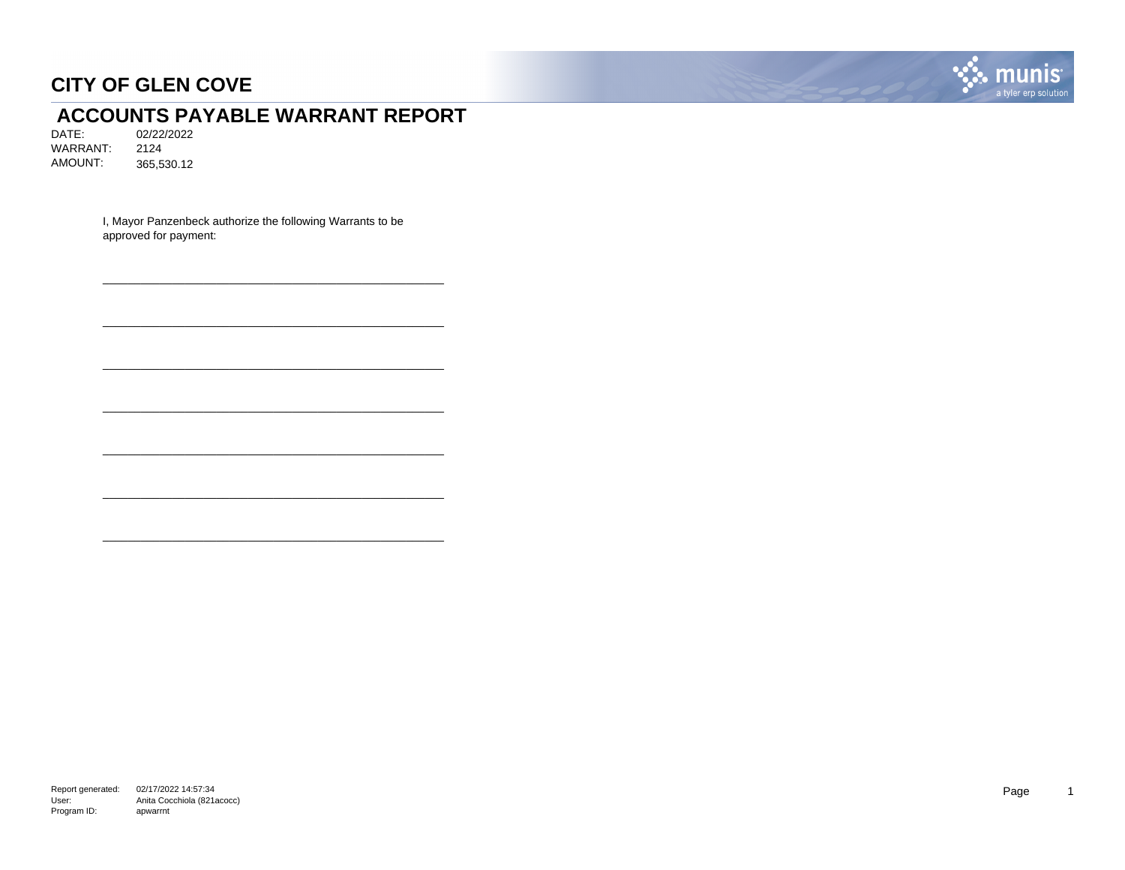

# **ACCOUNTS PAYABLE WARRANT REPORT**<br>DATE: 02/22/2022

DATE: 02/22/2022 WARRANT: 2124 AMOUNT: 365,530.12

> I, Mayor Panzenbeck authorize the following Warrants to be approved for payment:

\_\_\_\_\_\_\_\_\_\_\_\_\_\_\_\_\_\_\_\_\_\_\_\_\_\_\_\_\_\_\_\_\_\_\_\_\_\_\_\_\_\_\_\_\_\_\_\_\_\_\_\_\_\_

\_\_\_\_\_\_\_\_\_\_\_\_\_\_\_\_\_\_\_\_\_\_\_\_\_\_\_\_\_\_\_\_\_\_\_\_\_\_\_\_\_\_\_\_\_\_\_\_\_\_\_\_\_\_

\_\_\_\_\_\_\_\_\_\_\_\_\_\_\_\_\_\_\_\_\_\_\_\_\_\_\_\_\_\_\_\_\_\_\_\_\_\_\_\_\_\_\_\_\_\_\_\_\_\_\_\_\_\_

\_\_\_\_\_\_\_\_\_\_\_\_\_\_\_\_\_\_\_\_\_\_\_\_\_\_\_\_\_\_\_\_\_\_\_\_\_\_\_\_\_\_\_\_\_\_\_\_\_\_\_\_\_\_

\_\_\_\_\_\_\_\_\_\_\_\_\_\_\_\_\_\_\_\_\_\_\_\_\_\_\_\_\_\_\_\_\_\_\_\_\_\_\_\_\_\_\_\_\_\_\_\_\_\_\_\_\_\_

\_\_\_\_\_\_\_\_\_\_\_\_\_\_\_\_\_\_\_\_\_\_\_\_\_\_\_\_\_\_\_\_\_\_\_\_\_\_\_\_\_\_\_\_\_\_\_\_\_\_\_\_\_\_

\_\_\_\_\_\_\_\_\_\_\_\_\_\_\_\_\_\_\_\_\_\_\_\_\_\_\_\_\_\_\_\_\_\_\_\_\_\_\_\_\_\_\_\_\_\_\_\_\_\_\_\_\_\_

Report generated: 02/17/2022 14:57:34 User: Program ID: Anita Cocchiola (821acocc) apwarrnt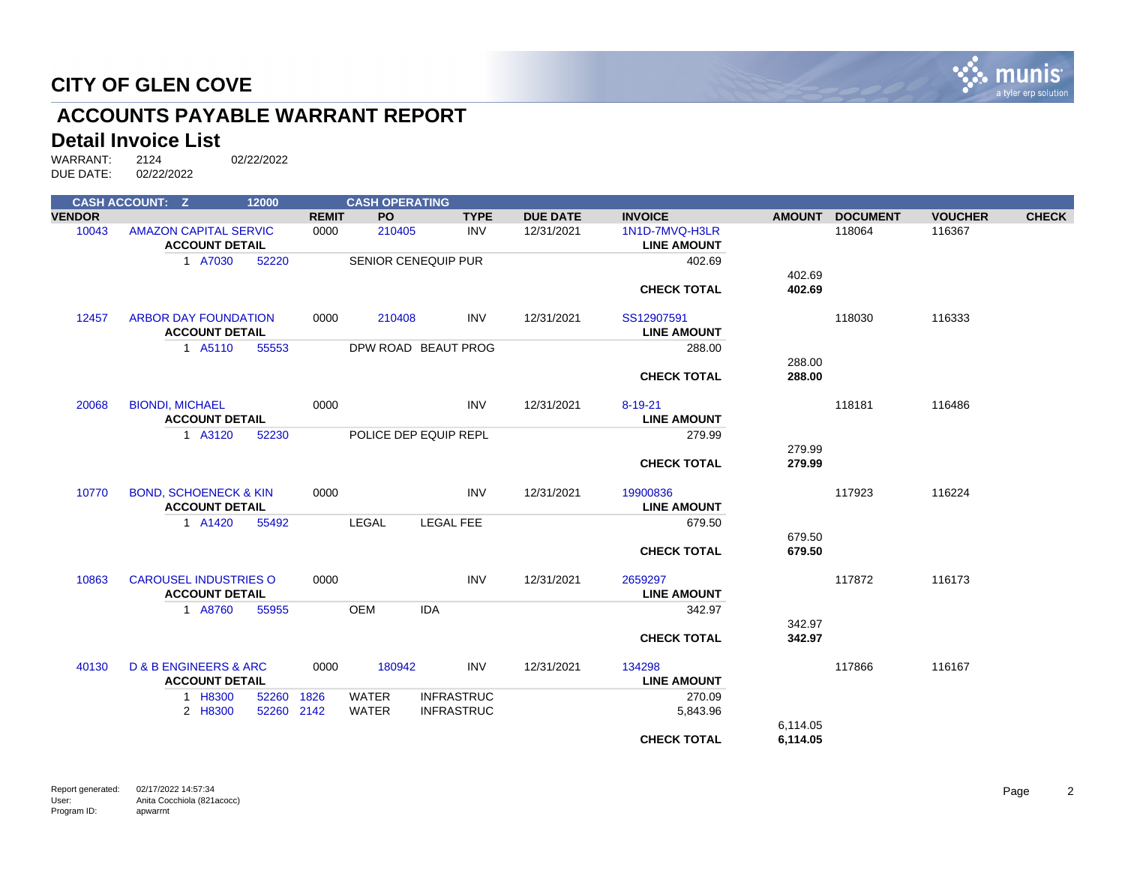

# **ACCOUNTS PAYABLE WARRANT REPORT**

#### **Detail Invoice List**

|               | <b>CASH ACCOUNT: Z</b>               | 12000      |              | <b>CASH OPERATING</b> |                            |                 |                    |               |                 |                |              |
|---------------|--------------------------------------|------------|--------------|-----------------------|----------------------------|-----------------|--------------------|---------------|-----------------|----------------|--------------|
| <b>VENDOR</b> |                                      |            | <b>REMIT</b> | <b>PO</b>             | <b>TYPE</b>                | <b>DUE DATE</b> | <b>INVOICE</b>     | <b>AMOUNT</b> | <b>DOCUMENT</b> | <b>VOUCHER</b> | <b>CHECK</b> |
| 10043         | <b>AMAZON CAPITAL SERVIC</b>         |            | 0000         | 210405                | <b>INV</b>                 | 12/31/2021      | 1N1D-7MVQ-H3LR     |               | 118064          | 116367         |              |
|               | <b>ACCOUNT DETAIL</b>                |            |              |                       |                            |                 | <b>LINE AMOUNT</b> |               |                 |                |              |
|               | 1 A7030                              | 52220      |              |                       | <b>SENIOR CENEQUIP PUR</b> |                 | 402.69             |               |                 |                |              |
|               |                                      |            |              |                       |                            |                 |                    | 402.69        |                 |                |              |
|               |                                      |            |              |                       |                            |                 | <b>CHECK TOTAL</b> | 402.69        |                 |                |              |
| 12457         | <b>ARBOR DAY FOUNDATION</b>          |            | 0000         | 210408                | <b>INV</b>                 | 12/31/2021      | SS12907591         |               | 118030          | 116333         |              |
|               | <b>ACCOUNT DETAIL</b>                |            |              |                       |                            |                 | <b>LINE AMOUNT</b> |               |                 |                |              |
|               | 1 A5110                              | 55553      |              |                       | DPW ROAD BEAUT PROG        |                 | 288.00             |               |                 |                |              |
|               |                                      |            |              |                       |                            |                 |                    | 288.00        |                 |                |              |
|               |                                      |            |              |                       |                            |                 | <b>CHECK TOTAL</b> | 288.00        |                 |                |              |
| 20068         | <b>BIONDI, MICHAEL</b>               |            | 0000         |                       | <b>INV</b>                 | 12/31/2021      | $8 - 19 - 21$      |               | 118181          | 116486         |              |
|               | <b>ACCOUNT DETAIL</b>                |            |              |                       |                            |                 | <b>LINE AMOUNT</b> |               |                 |                |              |
|               | 1 A3120                              | 52230      |              |                       | POLICE DEP EQUIP REPL      |                 | 279.99             |               |                 |                |              |
|               |                                      |            |              |                       |                            |                 |                    | 279.99        |                 |                |              |
|               |                                      |            |              |                       |                            |                 | <b>CHECK TOTAL</b> | 279.99        |                 |                |              |
| 10770         | <b>BOND, SCHOENECK &amp; KIN</b>     |            | 0000         |                       | <b>INV</b>                 | 12/31/2021      | 19900836           |               | 117923          | 116224         |              |
|               | <b>ACCOUNT DETAIL</b>                |            |              |                       |                            |                 | <b>LINE AMOUNT</b> |               |                 |                |              |
|               | 1 A1420                              | 55492      |              | <b>LEGAL</b>          | <b>LEGAL FEE</b>           |                 | 679.50             |               |                 |                |              |
|               |                                      |            |              |                       |                            |                 |                    | 679.50        |                 |                |              |
|               |                                      |            |              |                       |                            |                 | <b>CHECK TOTAL</b> | 679.50        |                 |                |              |
| 10863         | <b>CAROUSEL INDUSTRIES O</b>         |            | 0000         |                       | <b>INV</b>                 | 12/31/2021      | 2659297            |               | 117872          | 116173         |              |
|               | <b>ACCOUNT DETAIL</b>                |            |              |                       |                            |                 | <b>LINE AMOUNT</b> |               |                 |                |              |
|               | 1 A8760                              | 55955      |              | <b>OEM</b>            | <b>IDA</b>                 |                 | 342.97             |               |                 |                |              |
|               |                                      |            |              |                       |                            |                 |                    | 342.97        |                 |                |              |
|               |                                      |            |              |                       |                            |                 | <b>CHECK TOTAL</b> | 342.97        |                 |                |              |
| 40130         | <b>D &amp; B ENGINEERS &amp; ARC</b> |            | 0000         | 180942                | <b>INV</b>                 | 12/31/2021      | 134298             |               | 117866          | 116167         |              |
|               | <b>ACCOUNT DETAIL</b>                |            |              |                       |                            |                 | <b>LINE AMOUNT</b> |               |                 |                |              |
|               | 1 H8300                              | 52260      | 1826         | <b>WATER</b>          | <b>INFRASTRUC</b>          |                 | 270.09             |               |                 |                |              |
|               | 2 H8300                              | 52260 2142 |              | <b>WATER</b>          | <b>INFRASTRUC</b>          |                 | 5,843.96           |               |                 |                |              |
|               |                                      |            |              |                       |                            |                 |                    | 6,114.05      |                 |                |              |
|               |                                      |            |              |                       |                            |                 | <b>CHECK TOTAL</b> | 6,114.05      |                 |                |              |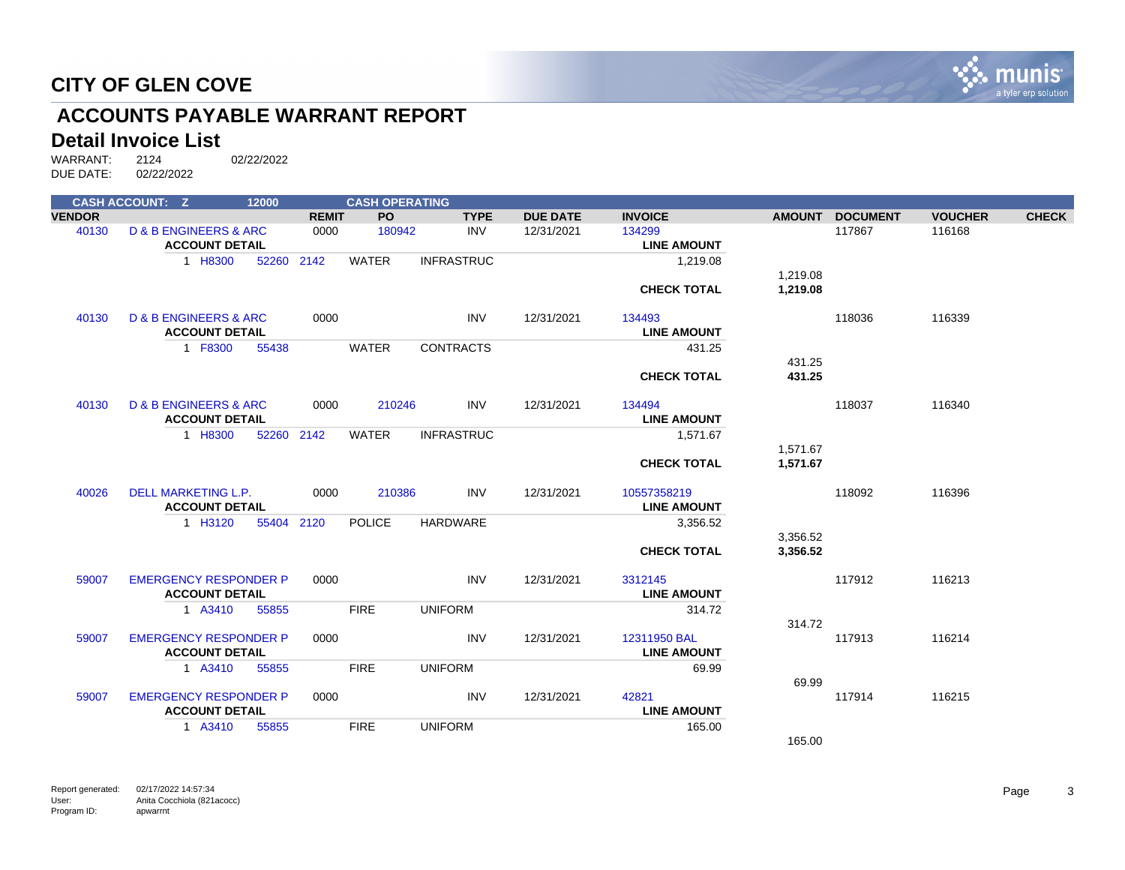

# **ACCOUNTS PAYABLE WARRANT REPORT**

#### **Detail Invoice List**

|               | <b>CASH ACCOUNT: Z</b>               | 12000      |              | <b>CASH OPERATING</b> |                   |                 |                    |          |                 |                |              |
|---------------|--------------------------------------|------------|--------------|-----------------------|-------------------|-----------------|--------------------|----------|-----------------|----------------|--------------|
| <b>VENDOR</b> |                                      |            | <b>REMIT</b> | <b>PO</b>             | <b>TYPE</b>       | <b>DUE DATE</b> | <b>INVOICE</b>     |          | AMOUNT DOCUMENT | <b>VOUCHER</b> | <b>CHECK</b> |
| 40130         | <b>D &amp; B ENGINEERS &amp; ARC</b> |            | 0000         | 180942                | <b>INV</b>        | 12/31/2021      | 134299             |          | 117867          | 116168         |              |
|               | <b>ACCOUNT DETAIL</b>                |            |              |                       |                   |                 | <b>LINE AMOUNT</b> |          |                 |                |              |
|               | 1 H8300                              | 52260 2142 |              | <b>WATER</b>          | <b>INFRASTRUC</b> |                 | 1,219.08           |          |                 |                |              |
|               |                                      |            |              |                       |                   |                 |                    | 1,219.08 |                 |                |              |
|               |                                      |            |              |                       |                   |                 | <b>CHECK TOTAL</b> | 1,219.08 |                 |                |              |
| 40130         | <b>D &amp; B ENGINEERS &amp; ARC</b> |            | 0000         |                       | <b>INV</b>        | 12/31/2021      | 134493             |          | 118036          | 116339         |              |
|               | <b>ACCOUNT DETAIL</b>                |            |              |                       |                   |                 | <b>LINE AMOUNT</b> |          |                 |                |              |
|               | 1 F8300                              | 55438      |              | <b>WATER</b>          | <b>CONTRACTS</b>  |                 | 431.25             |          |                 |                |              |
|               |                                      |            |              |                       |                   |                 |                    | 431.25   |                 |                |              |
|               |                                      |            |              |                       |                   |                 | <b>CHECK TOTAL</b> | 431.25   |                 |                |              |
| 40130         | <b>D &amp; B ENGINEERS &amp; ARC</b> |            | 0000         | 210246                | <b>INV</b>        | 12/31/2021      | 134494             |          | 118037          | 116340         |              |
|               | <b>ACCOUNT DETAIL</b>                |            |              |                       |                   |                 | <b>LINE AMOUNT</b> |          |                 |                |              |
|               | 1 H8300                              | 52260 2142 |              | <b>WATER</b>          | <b>INFRASTRUC</b> |                 | 1,571.67           |          |                 |                |              |
|               |                                      |            |              |                       |                   |                 |                    | 1.571.67 |                 |                |              |
|               |                                      |            |              |                       |                   |                 | <b>CHECK TOTAL</b> | 1.571.67 |                 |                |              |
| 40026         | DELL MARKETING L.P.                  |            | 0000         | 210386                | <b>INV</b>        | 12/31/2021      | 10557358219        |          | 118092          | 116396         |              |
|               | <b>ACCOUNT DETAIL</b>                |            |              |                       |                   |                 | <b>LINE AMOUNT</b> |          |                 |                |              |
|               | 1 H3120                              | 55404 2120 |              | <b>POLICE</b>         | HARDWARE          |                 | 3,356.52           |          |                 |                |              |
|               |                                      |            |              |                       |                   |                 |                    | 3,356.52 |                 |                |              |
|               |                                      |            |              |                       |                   |                 | <b>CHECK TOTAL</b> | 3,356.52 |                 |                |              |
| 59007         | <b>EMERGENCY RESPONDER P</b>         |            | 0000         |                       | <b>INV</b>        | 12/31/2021      | 3312145            |          | 117912          | 116213         |              |
|               | <b>ACCOUNT DETAIL</b>                |            |              |                       |                   |                 | <b>LINE AMOUNT</b> |          |                 |                |              |
|               | 1 A3410                              | 55855      |              | <b>FIRE</b>           | <b>UNIFORM</b>    |                 | 314.72             |          |                 |                |              |
|               |                                      |            |              |                       |                   |                 |                    | 314.72   |                 |                |              |
| 59007         | <b>EMERGENCY RESPONDER P</b>         |            | 0000         |                       | <b>INV</b>        | 12/31/2021      | 12311950 BAL       |          | 117913          | 116214         |              |
|               | <b>ACCOUNT DETAIL</b>                |            |              |                       |                   |                 | <b>LINE AMOUNT</b> |          |                 |                |              |
|               | 1 A3410                              | 55855      |              | <b>FIRE</b>           | <b>UNIFORM</b>    |                 | 69.99              |          |                 |                |              |
|               |                                      |            |              |                       |                   |                 |                    | 69.99    |                 |                |              |
| 59007         | <b>EMERGENCY RESPONDER P</b>         |            | 0000         |                       | <b>INV</b>        | 12/31/2021      | 42821              |          | 117914          | 116215         |              |
|               | <b>ACCOUNT DETAIL</b>                |            |              |                       |                   |                 | <b>LINE AMOUNT</b> |          |                 |                |              |
|               | 1 A3410                              | 55855      |              | <b>FIRE</b>           | <b>UNIFORM</b>    |                 | 165.00             |          |                 |                |              |
|               |                                      |            |              |                       |                   |                 |                    | 165.00   |                 |                |              |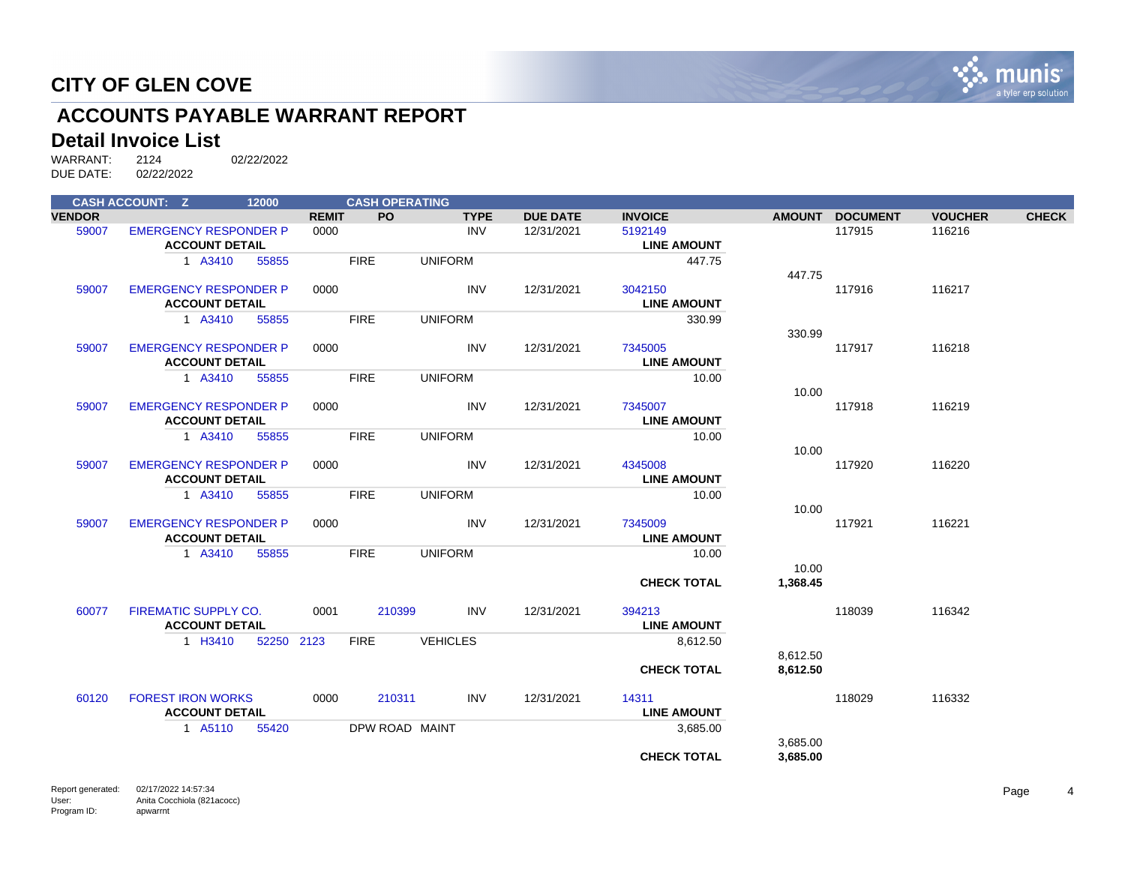

# **ACCOUNTS PAYABLE WARRANT REPORT**

#### **Detail Invoice List**

|               | <b>CASH ACCOUNT: Z</b>       | 12000      |              | <b>CASH OPERATING</b> |                 |                 |                    |          |                 |                |              |
|---------------|------------------------------|------------|--------------|-----------------------|-----------------|-----------------|--------------------|----------|-----------------|----------------|--------------|
| <b>VENDOR</b> |                              |            | <b>REMIT</b> | <b>PO</b>             | <b>TYPE</b>     | <b>DUE DATE</b> | <b>INVOICE</b>     |          | AMOUNT DOCUMENT | <b>VOUCHER</b> | <b>CHECK</b> |
| 59007         | <b>EMERGENCY RESPONDER P</b> |            | 0000         |                       | INV             | 12/31/2021      | 5192149            |          | 117915          | 116216         |              |
|               | <b>ACCOUNT DETAIL</b>        |            |              |                       |                 |                 | <b>LINE AMOUNT</b> |          |                 |                |              |
|               | 1 A3410                      | 55855      |              | <b>FIRE</b>           | <b>UNIFORM</b>  |                 | 447.75             |          |                 |                |              |
|               |                              |            |              |                       |                 |                 |                    | 447.75   |                 |                |              |
| 59007         | <b>EMERGENCY RESPONDER P</b> |            | 0000         |                       | <b>INV</b>      | 12/31/2021      | 3042150            |          | 117916          | 116217         |              |
|               | <b>ACCOUNT DETAIL</b>        |            |              |                       |                 |                 | <b>LINE AMOUNT</b> |          |                 |                |              |
|               | 1 A3410                      | 55855      |              | <b>FIRE</b>           | <b>UNIFORM</b>  |                 | 330.99             |          |                 |                |              |
|               |                              |            |              |                       |                 |                 |                    | 330.99   |                 |                |              |
| 59007         | <b>EMERGENCY RESPONDER P</b> |            | 0000         |                       | INV             | 12/31/2021      | 7345005            |          | 117917          | 116218         |              |
|               | <b>ACCOUNT DETAIL</b>        |            |              |                       |                 |                 | <b>LINE AMOUNT</b> |          |                 |                |              |
|               | 1 A3410                      | 55855      |              | <b>FIRE</b>           | <b>UNIFORM</b>  |                 | 10.00              |          |                 |                |              |
|               |                              |            |              |                       |                 |                 |                    | 10.00    |                 |                |              |
| 59007         | <b>EMERGENCY RESPONDER P</b> |            | 0000         |                       | INV             | 12/31/2021      | 7345007            |          | 117918          | 116219         |              |
|               | <b>ACCOUNT DETAIL</b>        |            |              |                       |                 |                 | <b>LINE AMOUNT</b> |          |                 |                |              |
|               | 1 A3410                      | 55855      |              | <b>FIRE</b>           | <b>UNIFORM</b>  |                 | 10.00              |          |                 |                |              |
|               |                              |            |              |                       |                 |                 |                    | 10.00    |                 |                |              |
| 59007         | <b>EMERGENCY RESPONDER P</b> |            | 0000         |                       | INV             | 12/31/2021      | 4345008            |          | 117920          | 116220         |              |
|               | <b>ACCOUNT DETAIL</b>        |            |              |                       |                 |                 | <b>LINE AMOUNT</b> |          |                 |                |              |
|               | 1 A3410                      | 55855      |              | <b>FIRE</b>           | <b>UNIFORM</b>  |                 | 10.00              |          |                 |                |              |
|               |                              |            |              |                       |                 |                 |                    | 10.00    |                 |                |              |
| 59007         | <b>EMERGENCY RESPONDER P</b> |            | 0000         |                       | <b>INV</b>      | 12/31/2021      | 7345009            |          | 117921          | 116221         |              |
|               | <b>ACCOUNT DETAIL</b>        |            |              |                       |                 |                 | <b>LINE AMOUNT</b> |          |                 |                |              |
|               | 1 A3410                      | 55855      |              | <b>FIRE</b>           | <b>UNIFORM</b>  |                 | 10.00              |          |                 |                |              |
|               |                              |            |              |                       |                 |                 |                    | 10.00    |                 |                |              |
|               |                              |            |              |                       |                 |                 | <b>CHECK TOTAL</b> | 1,368.45 |                 |                |              |
|               |                              |            |              |                       |                 |                 |                    |          |                 |                |              |
| 60077         | <b>FIREMATIC SUPPLY CO.</b>  |            | 0001         | 210399                | INV             | 12/31/2021      | 394213             |          | 118039          | 116342         |              |
|               | <b>ACCOUNT DETAIL</b>        |            |              |                       |                 |                 | <b>LINE AMOUNT</b> |          |                 |                |              |
|               | 1 H3410                      | 52250 2123 |              | <b>FIRE</b>           | <b>VEHICLES</b> |                 | 8,612.50           |          |                 |                |              |
|               |                              |            |              |                       |                 |                 |                    | 8,612.50 |                 |                |              |
|               |                              |            |              |                       |                 |                 | <b>CHECK TOTAL</b> | 8,612.50 |                 |                |              |
|               |                              |            |              |                       |                 |                 |                    |          |                 |                |              |
| 60120         | <b>FOREST IRON WORKS</b>     |            | 0000         | 210311                | <b>INV</b>      | 12/31/2021      | 14311              |          | 118029          | 116332         |              |
|               | <b>ACCOUNT DETAIL</b>        |            |              |                       |                 |                 | <b>LINE AMOUNT</b> |          |                 |                |              |
|               | 1 A5110                      | 55420      |              | DPW ROAD MAINT        |                 |                 | 3,685.00           |          |                 |                |              |
|               |                              |            |              |                       |                 |                 |                    | 3,685.00 |                 |                |              |
|               |                              |            |              |                       |                 |                 | <b>CHECK TOTAL</b> | 3,685.00 |                 |                |              |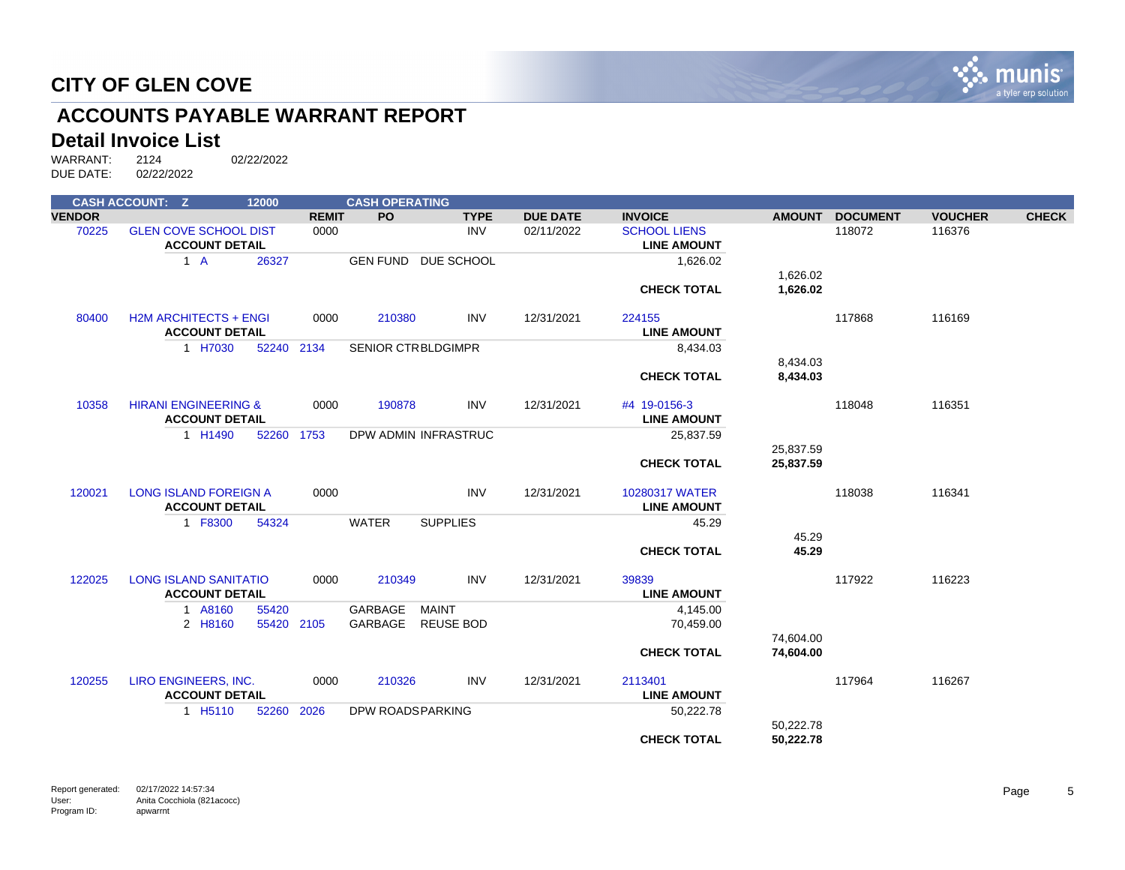

# **ACCOUNTS PAYABLE WARRANT REPORT**

#### **Detail Invoice List**

|               | <b>CASH ACCOUNT: Z</b>          | 12000      |              | <b>CASH OPERATING</b> |                           |                 |                     |               |                 |                |              |
|---------------|---------------------------------|------------|--------------|-----------------------|---------------------------|-----------------|---------------------|---------------|-----------------|----------------|--------------|
| <b>VENDOR</b> |                                 |            | <b>REMIT</b> | <b>PO</b>             | <b>TYPE</b>               | <b>DUE DATE</b> | <b>INVOICE</b>      | <b>AMOUNT</b> | <b>DOCUMENT</b> | <b>VOUCHER</b> | <b>CHECK</b> |
| 70225         | <b>GLEN COVE SCHOOL DIST</b>    |            | 0000         |                       | <b>INV</b>                | 02/11/2022      | <b>SCHOOL LIENS</b> |               | 118072          | 116376         |              |
|               | <b>ACCOUNT DETAIL</b>           |            |              |                       |                           |                 | <b>LINE AMOUNT</b>  |               |                 |                |              |
|               | $1 \text{ A}$                   | 26327      |              |                       | GEN FUND DUE SCHOOL       |                 | 1,626.02            |               |                 |                |              |
|               |                                 |            |              |                       |                           |                 |                     | 1,626.02      |                 |                |              |
|               |                                 |            |              |                       |                           |                 | <b>CHECK TOTAL</b>  | 1,626.02      |                 |                |              |
|               |                                 |            |              |                       |                           |                 |                     |               |                 |                |              |
| 80400         | <b>H2M ARCHITECTS + ENGI</b>    |            | 0000         | 210380                | <b>INV</b>                | 12/31/2021      | 224155              |               | 117868          | 116169         |              |
|               | <b>ACCOUNT DETAIL</b>           |            |              |                       |                           |                 | <b>LINE AMOUNT</b>  |               |                 |                |              |
|               | 1 H7030                         | 52240      | 2134         |                       | <b>SENIOR CTRBLDGIMPR</b> |                 | 8,434.03            |               |                 |                |              |
|               |                                 |            |              |                       |                           |                 |                     | 8,434.03      |                 |                |              |
|               |                                 |            |              |                       |                           |                 | <b>CHECK TOTAL</b>  | 8,434.03      |                 |                |              |
| 10358         | <b>HIRANI ENGINEERING &amp;</b> |            | 0000         | 190878                | <b>INV</b>                | 12/31/2021      | #4 19-0156-3        |               | 118048          | 116351         |              |
|               | <b>ACCOUNT DETAIL</b>           |            |              |                       |                           |                 | <b>LINE AMOUNT</b>  |               |                 |                |              |
|               | 1 H1490                         | 52260      | 1753         |                       | DPW ADMIN INFRASTRUC      |                 | 25,837.59           |               |                 |                |              |
|               |                                 |            |              |                       |                           |                 |                     | 25,837.59     |                 |                |              |
|               |                                 |            |              |                       |                           |                 | <b>CHECK TOTAL</b>  | 25,837.59     |                 |                |              |
|               |                                 |            |              |                       |                           |                 |                     |               |                 |                |              |
| 120021        | <b>LONG ISLAND FOREIGN A</b>    |            | 0000         |                       | <b>INV</b>                | 12/31/2021      | 10280317 WATER      |               | 118038          | 116341         |              |
|               | <b>ACCOUNT DETAIL</b>           |            |              |                       |                           |                 | <b>LINE AMOUNT</b>  |               |                 |                |              |
|               | 1 F8300                         | 54324      |              | <b>WATER</b>          | <b>SUPPLIES</b>           |                 | 45.29               |               |                 |                |              |
|               |                                 |            |              |                       |                           |                 |                     | 45.29         |                 |                |              |
|               |                                 |            |              |                       |                           |                 | <b>CHECK TOTAL</b>  | 45.29         |                 |                |              |
|               |                                 |            |              |                       |                           |                 |                     |               |                 |                |              |
| 122025        | <b>LONG ISLAND SANITATIO</b>    |            | 0000         | 210349                | <b>INV</b>                | 12/31/2021      | 39839               |               | 117922          | 116223         |              |
|               | <b>ACCOUNT DETAIL</b>           |            |              |                       |                           |                 | <b>LINE AMOUNT</b>  |               |                 |                |              |
|               | 1 A8160                         | 55420      |              | GARBAGE               | MAINT                     |                 | 4,145.00            |               |                 |                |              |
|               | 2 H8160                         | 55420 2105 |              | GARBAGE               | REUSE BOD                 |                 | 70,459.00           |               |                 |                |              |
|               |                                 |            |              |                       |                           |                 |                     | 74,604.00     |                 |                |              |
|               |                                 |            |              |                       |                           |                 | <b>CHECK TOTAL</b>  | 74,604.00     |                 |                |              |
| 120255        | LIRO ENGINEERS, INC.            |            | 0000         | 210326                | <b>INV</b>                | 12/31/2021      | 2113401             |               | 117964          | 116267         |              |
|               | <b>ACCOUNT DETAIL</b>           |            |              |                       |                           |                 | <b>LINE AMOUNT</b>  |               |                 |                |              |
|               | 1 H <sub>5</sub> 110            | 52260      | 2026         | DPW ROADSPARKING      |                           |                 | 50,222.78           |               |                 |                |              |
|               |                                 |            |              |                       |                           |                 |                     | 50,222.78     |                 |                |              |
|               |                                 |            |              |                       |                           |                 | <b>CHECK TOTAL</b>  | 50,222.78     |                 |                |              |
|               |                                 |            |              |                       |                           |                 |                     |               |                 |                |              |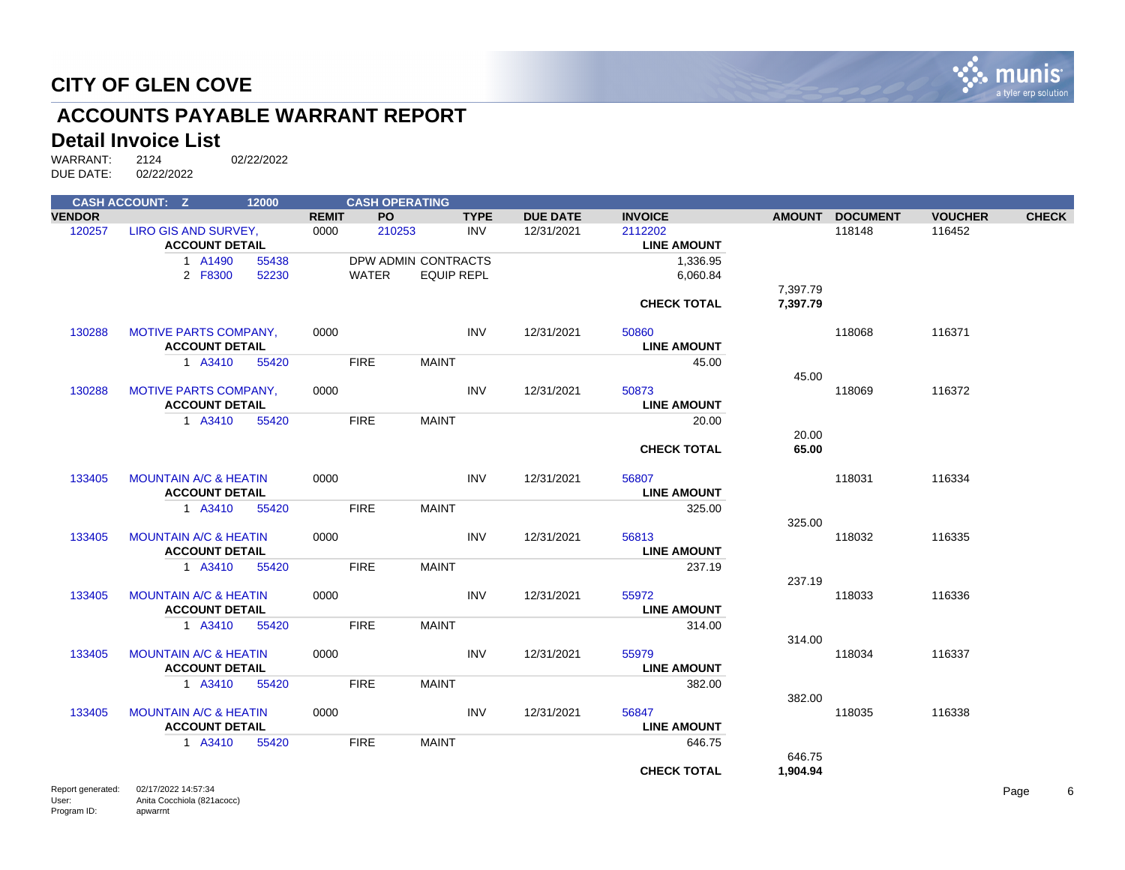

# **ACCOUNTS PAYABLE WARRANT REPORT**

#### **Detail Invoice List**

|                   | <b>CASH ACCOUNT: Z</b>                        | 12000 |              | <b>CASH OPERATING</b> |                   |             |                 |                               |          |                 |                |              |
|-------------------|-----------------------------------------------|-------|--------------|-----------------------|-------------------|-------------|-----------------|-------------------------------|----------|-----------------|----------------|--------------|
| <b>VENDOR</b>     |                                               |       | <b>REMIT</b> | PO.                   |                   | <b>TYPE</b> | <b>DUE DATE</b> | <b>INVOICE</b>                |          | AMOUNT DOCUMENT | <b>VOUCHER</b> | <b>CHECK</b> |
| 120257            | LIRO GIS AND SURVEY,<br><b>ACCOUNT DETAIL</b> |       | 0000         | 210253                |                   | <b>INV</b>  | 12/31/2021      | 2112202<br><b>LINE AMOUNT</b> |          | 118148          | 116452         |              |
|                   | 1 A1490                                       | 55438 |              | DPW ADMIN CONTRACTS   |                   |             |                 | 1,336.95                      |          |                 |                |              |
|                   | 2 F8300                                       | 52230 |              | <b>WATER</b>          | <b>EQUIP REPL</b> |             |                 | 6,060.84                      |          |                 |                |              |
|                   |                                               |       |              |                       |                   |             |                 |                               | 7,397.79 |                 |                |              |
|                   |                                               |       |              |                       |                   |             |                 | <b>CHECK TOTAL</b>            | 7,397.79 |                 |                |              |
| 130288            | <b>MOTIVE PARTS COMPANY,</b>                  |       | 0000         |                       |                   | <b>INV</b>  | 12/31/2021      | 50860                         |          | 118068          | 116371         |              |
|                   | <b>ACCOUNT DETAIL</b>                         |       |              |                       |                   |             |                 | <b>LINE AMOUNT</b>            |          |                 |                |              |
|                   | 1 A3410                                       | 55420 |              | <b>FIRE</b>           | <b>MAINT</b>      |             |                 | 45.00                         |          |                 |                |              |
|                   |                                               |       |              |                       |                   |             |                 |                               | 45.00    |                 |                |              |
| 130288            | <b>MOTIVE PARTS COMPANY,</b>                  |       | 0000         |                       |                   | <b>INV</b>  | 12/31/2021      | 50873                         |          | 118069          | 116372         |              |
|                   | <b>ACCOUNT DETAIL</b>                         |       |              |                       |                   |             |                 | <b>LINE AMOUNT</b>            |          |                 |                |              |
|                   | 1 A3410                                       | 55420 |              | <b>FIRE</b>           | <b>MAINT</b>      |             |                 | 20.00                         |          |                 |                |              |
|                   |                                               |       |              |                       |                   |             |                 |                               | 20.00    |                 |                |              |
|                   |                                               |       |              |                       |                   |             |                 | <b>CHECK TOTAL</b>            | 65.00    |                 |                |              |
| 133405            | <b>MOUNTAIN A/C &amp; HEATIN</b>              |       | 0000         |                       |                   | <b>INV</b>  | 12/31/2021      | 56807                         |          | 118031          | 116334         |              |
|                   | <b>ACCOUNT DETAIL</b>                         |       |              |                       |                   |             |                 | <b>LINE AMOUNT</b>            |          |                 |                |              |
|                   | 1 A3410                                       | 55420 |              | <b>FIRE</b>           | <b>MAINT</b>      |             |                 | 325.00                        |          |                 |                |              |
|                   |                                               |       |              |                       |                   |             |                 |                               | 325.00   |                 |                |              |
| 133405            | <b>MOUNTAIN A/C &amp; HEATIN</b>              |       | 0000         |                       |                   | <b>INV</b>  | 12/31/2021      | 56813                         |          | 118032          | 116335         |              |
|                   | <b>ACCOUNT DETAIL</b>                         |       |              |                       |                   |             |                 | <b>LINE AMOUNT</b>            |          |                 |                |              |
|                   | 1 A3410                                       | 55420 |              | <b>FIRE</b>           | <b>MAINT</b>      |             |                 | 237.19                        |          |                 |                |              |
|                   |                                               |       |              |                       |                   |             |                 |                               | 237.19   |                 |                |              |
| 133405            | <b>MOUNTAIN A/C &amp; HEATIN</b>              |       | 0000         |                       |                   | <b>INV</b>  | 12/31/2021      | 55972                         |          | 118033          | 116336         |              |
|                   | <b>ACCOUNT DETAIL</b>                         |       |              |                       |                   |             |                 | <b>LINE AMOUNT</b>            |          |                 |                |              |
|                   | 1 A3410                                       | 55420 |              | <b>FIRE</b>           | <b>MAINT</b>      |             |                 | 314.00                        |          |                 |                |              |
|                   | <b>MOUNTAIN A/C &amp; HEATIN</b>              |       |              |                       |                   | <b>INV</b>  |                 | 55979                         | 314.00   |                 | 116337         |              |
| 133405            | <b>ACCOUNT DETAIL</b>                         |       | 0000         |                       |                   |             | 12/31/2021      |                               |          | 118034          |                |              |
|                   |                                               |       |              |                       |                   |             |                 | <b>LINE AMOUNT</b>            |          |                 |                |              |
|                   | 1 A3410                                       | 55420 |              | <b>FIRE</b>           | <b>MAINT</b>      |             |                 | 382.00                        | 382.00   |                 |                |              |
| 133405            | <b>MOUNTAIN A/C &amp; HEATIN</b>              |       | 0000         |                       |                   | <b>INV</b>  | 12/31/2021      | 56847                         |          | 118035          | 116338         |              |
|                   | <b>ACCOUNT DETAIL</b>                         |       |              |                       |                   |             |                 | <b>LINE AMOUNT</b>            |          |                 |                |              |
|                   | 1 A3410                                       | 55420 |              | <b>FIRE</b>           | <b>MAINT</b>      |             |                 | 646.75                        |          |                 |                |              |
|                   |                                               |       |              |                       |                   |             |                 |                               | 646.75   |                 |                |              |
|                   |                                               |       |              |                       |                   |             |                 | <b>CHECK TOTAL</b>            | 1,904.94 |                 |                |              |
| Report generated: | 02/17/2022 14:57:34                           |       |              |                       |                   |             |                 |                               |          |                 |                | Page         |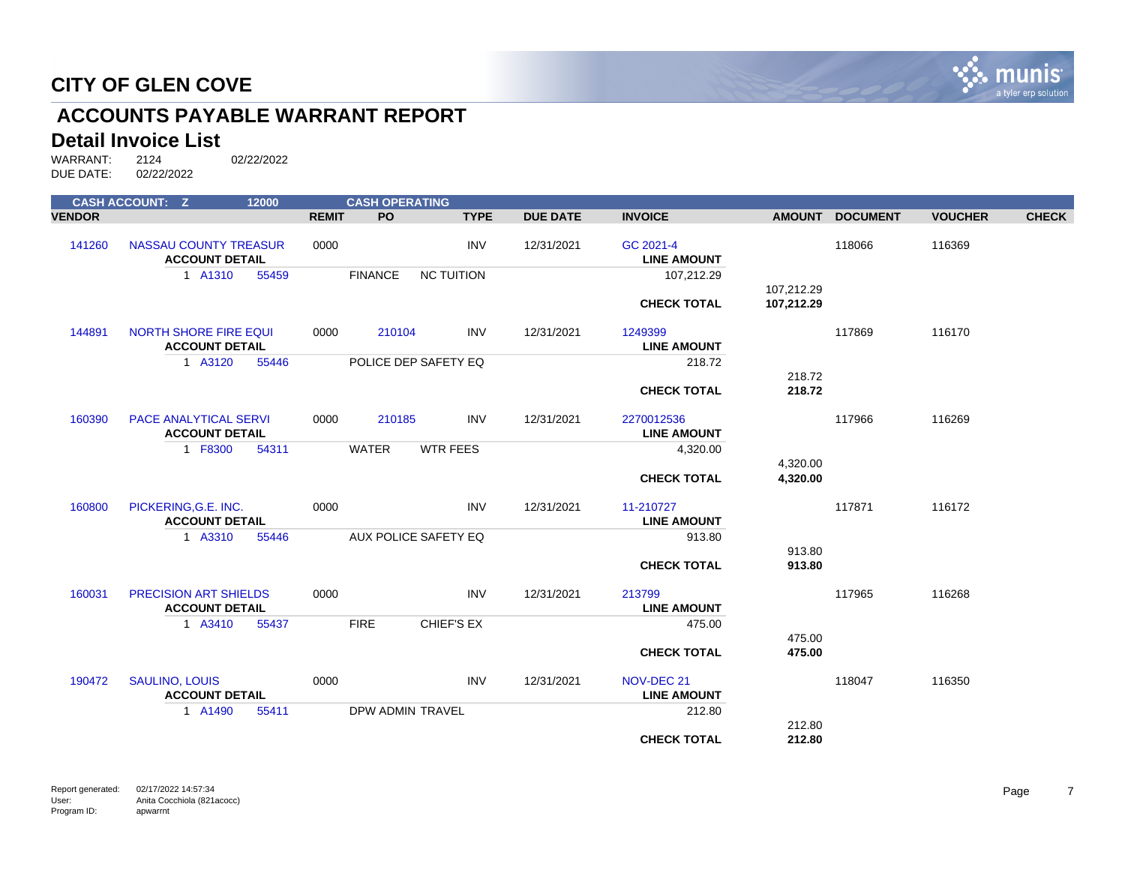

# **ACCOUNTS PAYABLE WARRANT REPORT**

#### **Detail Invoice List**

WARRANT: 2124 02/22/2022 DUE DATE: 02/22/2022

|               | <b>CASH ACCOUNT: Z</b>                                | 12000 |              | <b>CASH OPERATING</b> |                      |                 |                                  |               |                 |                |              |
|---------------|-------------------------------------------------------|-------|--------------|-----------------------|----------------------|-----------------|----------------------------------|---------------|-----------------|----------------|--------------|
| <b>VENDOR</b> |                                                       |       | <b>REMIT</b> | <b>PO</b>             | <b>TYPE</b>          | <b>DUE DATE</b> | <b>INVOICE</b>                   | <b>AMOUNT</b> | <b>DOCUMENT</b> | <b>VOUCHER</b> | <b>CHECK</b> |
| 141260        | <b>NASSAU COUNTY TREASUR</b><br><b>ACCOUNT DETAIL</b> |       | 0000         |                       | <b>INV</b>           | 12/31/2021      | GC 2021-4<br><b>LINE AMOUNT</b>  |               | 118066          | 116369         |              |
|               | 1 A1310                                               | 55459 |              | <b>FINANCE</b>        | <b>NC TUITION</b>    |                 | 107,212.29                       | 107,212.29    |                 |                |              |
|               |                                                       |       |              |                       |                      |                 | <b>CHECK TOTAL</b>               | 107,212.29    |                 |                |              |
| 144891        | <b>NORTH SHORE FIRE EQUI</b><br><b>ACCOUNT DETAIL</b> |       | 0000         | 210104                | <b>INV</b>           | 12/31/2021      | 1249399<br><b>LINE AMOUNT</b>    |               | 117869          | 116170         |              |
|               | 1 A3120                                               | 55446 |              |                       | POLICE DEP SAFETY EQ |                 | 218.72                           | 218.72        |                 |                |              |
|               |                                                       |       |              |                       |                      |                 | <b>CHECK TOTAL</b>               | 218.72        |                 |                |              |
| 160390        | <b>PACE ANALYTICAL SERVI</b><br><b>ACCOUNT DETAIL</b> |       | 0000         | 210185                | <b>INV</b>           | 12/31/2021      | 2270012536<br><b>LINE AMOUNT</b> |               | 117966          | 116269         |              |
|               | 1 F8300                                               | 54311 |              | <b>WATER</b>          | <b>WTR FEES</b>      |                 | 4,320.00                         | 4,320.00      |                 |                |              |
|               |                                                       |       |              |                       |                      |                 | <b>CHECK TOTAL</b>               | 4,320.00      |                 |                |              |
| 160800        | PICKERING, G.E. INC.<br><b>ACCOUNT DETAIL</b>         |       | 0000         |                       | <b>INV</b>           | 12/31/2021      | 11-210727<br><b>LINE AMOUNT</b>  |               | 117871          | 116172         |              |
|               | 1 A3310                                               | 55446 |              |                       | AUX POLICE SAFETY EQ |                 | 913.80                           | 913.80        |                 |                |              |
|               |                                                       |       |              |                       |                      |                 | <b>CHECK TOTAL</b>               | 913.80        |                 |                |              |
| 160031        | PRECISION ART SHIELDS<br><b>ACCOUNT DETAIL</b>        |       | 0000         |                       | <b>INV</b>           | 12/31/2021      | 213799<br><b>LINE AMOUNT</b>     |               | 117965          | 116268         |              |
|               | 1 A3410                                               | 55437 |              | <b>FIRE</b>           | CHIEF'S EX           |                 | 475.00                           | 475.00        |                 |                |              |
|               |                                                       |       |              |                       |                      |                 | <b>CHECK TOTAL</b>               | 475.00        |                 |                |              |
| 190472        | <b>SAULINO, LOUIS</b><br><b>ACCOUNT DETAIL</b>        |       | 0000         |                       | <b>INV</b>           | 12/31/2021      | NOV-DEC 21<br><b>LINE AMOUNT</b> |               | 118047          | 116350         |              |
|               | 1 A1490                                               | 55411 |              | DPW ADMIN TRAVEL      |                      |                 | 212.80                           | 212.80        |                 |                |              |
|               |                                                       |       |              |                       |                      |                 | <b>CHECK TOTAL</b>               | 212.80        |                 |                |              |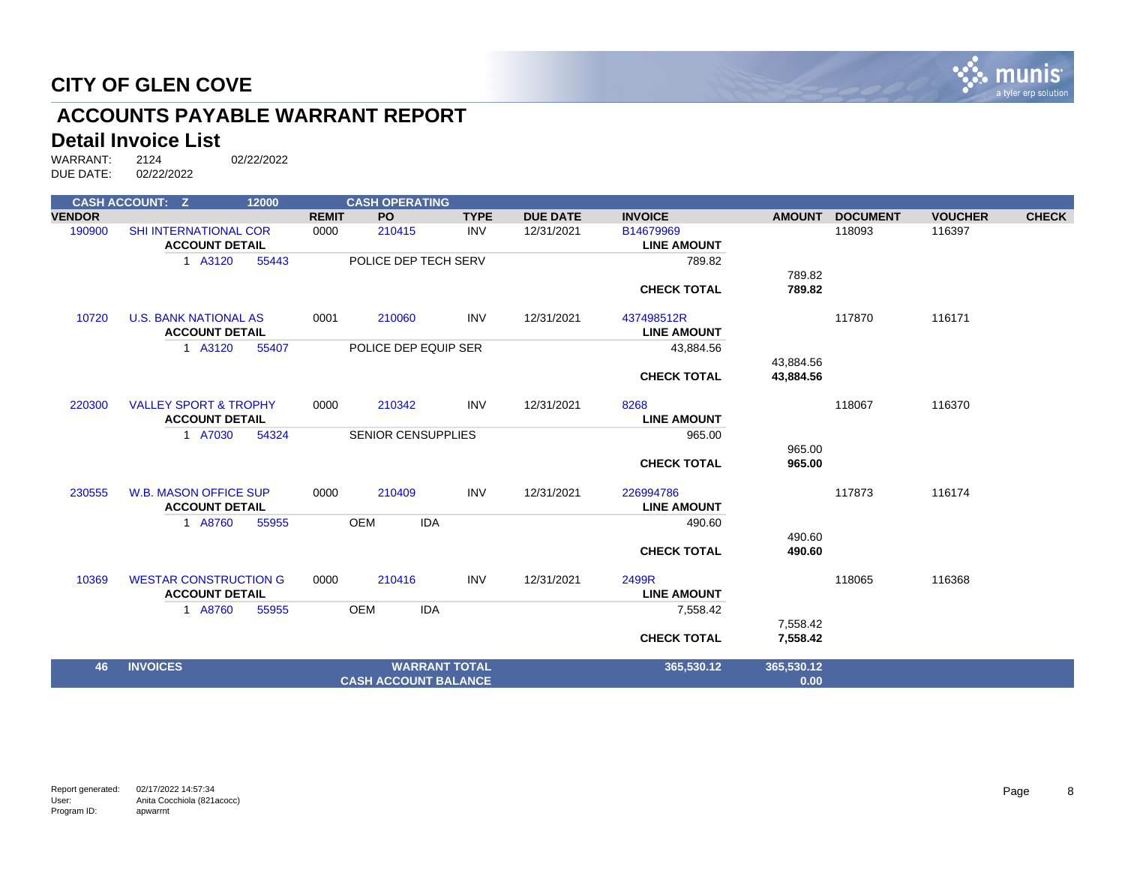

# **ACCOUNTS PAYABLE WARRANT REPORT**

#### **Detail Invoice List**

|               | <b>CASH ACCOUNT: Z</b>           | 12000 | <b>CASH OPERATING</b>     |                             |             |                 |                    |               |                 |                |              |
|---------------|----------------------------------|-------|---------------------------|-----------------------------|-------------|-----------------|--------------------|---------------|-----------------|----------------|--------------|
| <b>VENDOR</b> |                                  |       | <b>PO</b><br><b>REMIT</b> |                             | <b>TYPE</b> | <b>DUE DATE</b> | <b>INVOICE</b>     | <b>AMOUNT</b> | <b>DOCUMENT</b> | <b>VOUCHER</b> | <b>CHECK</b> |
| 190900        | <b>SHI INTERNATIONAL COR</b>     |       | 0000<br>210415            |                             | <b>INV</b>  | 12/31/2021      | B14679969          |               | 118093          | 116397         |              |
|               | <b>ACCOUNT DETAIL</b>            |       |                           |                             |             |                 | <b>LINE AMOUNT</b> |               |                 |                |              |
|               | 1 A3120                          | 55443 |                           | POLICE DEP TECH SERV        |             |                 | 789.82             |               |                 |                |              |
|               |                                  |       |                           |                             |             |                 |                    | 789.82        |                 |                |              |
|               |                                  |       |                           |                             |             |                 | <b>CHECK TOTAL</b> | 789.82        |                 |                |              |
| 10720         | <b>U.S. BANK NATIONAL AS</b>     |       | 0001<br>210060            |                             | <b>INV</b>  | 12/31/2021      | 437498512R         |               | 117870          | 116171         |              |
|               | <b>ACCOUNT DETAIL</b>            |       |                           |                             |             |                 | <b>LINE AMOUNT</b> |               |                 |                |              |
|               | 1 A3120                          | 55407 |                           | POLICE DEP EQUIP SER        |             |                 | 43,884.56          |               |                 |                |              |
|               |                                  |       |                           |                             |             |                 |                    | 43,884.56     |                 |                |              |
|               |                                  |       |                           |                             |             |                 | <b>CHECK TOTAL</b> | 43,884.56     |                 |                |              |
| 220300        | <b>VALLEY SPORT &amp; TROPHY</b> |       | 0000<br>210342            |                             | <b>INV</b>  | 12/31/2021      | 8268               |               | 118067          | 116370         |              |
|               | <b>ACCOUNT DETAIL</b>            |       |                           |                             |             |                 | <b>LINE AMOUNT</b> |               |                 |                |              |
|               | 1 A7030                          | 54324 |                           | <b>SENIOR CENSUPPLIES</b>   |             |                 | 965.00             |               |                 |                |              |
|               |                                  |       |                           |                             |             |                 |                    | 965.00        |                 |                |              |
|               |                                  |       |                           |                             |             |                 | <b>CHECK TOTAL</b> | 965.00        |                 |                |              |
| 230555        | <b>W.B. MASON OFFICE SUP</b>     |       | 210409<br>0000            |                             | <b>INV</b>  | 12/31/2021      | 226994786          |               | 117873          | 116174         |              |
|               | <b>ACCOUNT DETAIL</b>            |       |                           |                             |             |                 | <b>LINE AMOUNT</b> |               |                 |                |              |
|               | 1 A8760                          | 55955 | <b>OEM</b>                | <b>IDA</b>                  |             |                 | 490.60             |               |                 |                |              |
|               |                                  |       |                           |                             |             |                 |                    | 490.60        |                 |                |              |
|               |                                  |       |                           |                             |             |                 | <b>CHECK TOTAL</b> | 490.60        |                 |                |              |
| 10369         | <b>WESTAR CONSTRUCTION G</b>     |       | 210416<br>0000            |                             | <b>INV</b>  | 12/31/2021      | 2499R              |               | 118065          | 116368         |              |
|               | <b>ACCOUNT DETAIL</b>            |       |                           |                             |             |                 | <b>LINE AMOUNT</b> |               |                 |                |              |
|               | 1 A8760                          | 55955 | <b>OEM</b>                | <b>IDA</b>                  |             |                 | 7,558.42           |               |                 |                |              |
|               |                                  |       |                           |                             |             |                 |                    | 7,558.42      |                 |                |              |
|               |                                  |       |                           |                             |             |                 | <b>CHECK TOTAL</b> | 7,558.42      |                 |                |              |
| 46            | <b>INVOICES</b>                  |       |                           | <b>WARRANT TOTAL</b>        |             |                 | 365,530.12         | 365,530.12    |                 |                |              |
|               |                                  |       |                           | <b>CASH ACCOUNT BALANCE</b> |             |                 |                    | 0.00          |                 |                |              |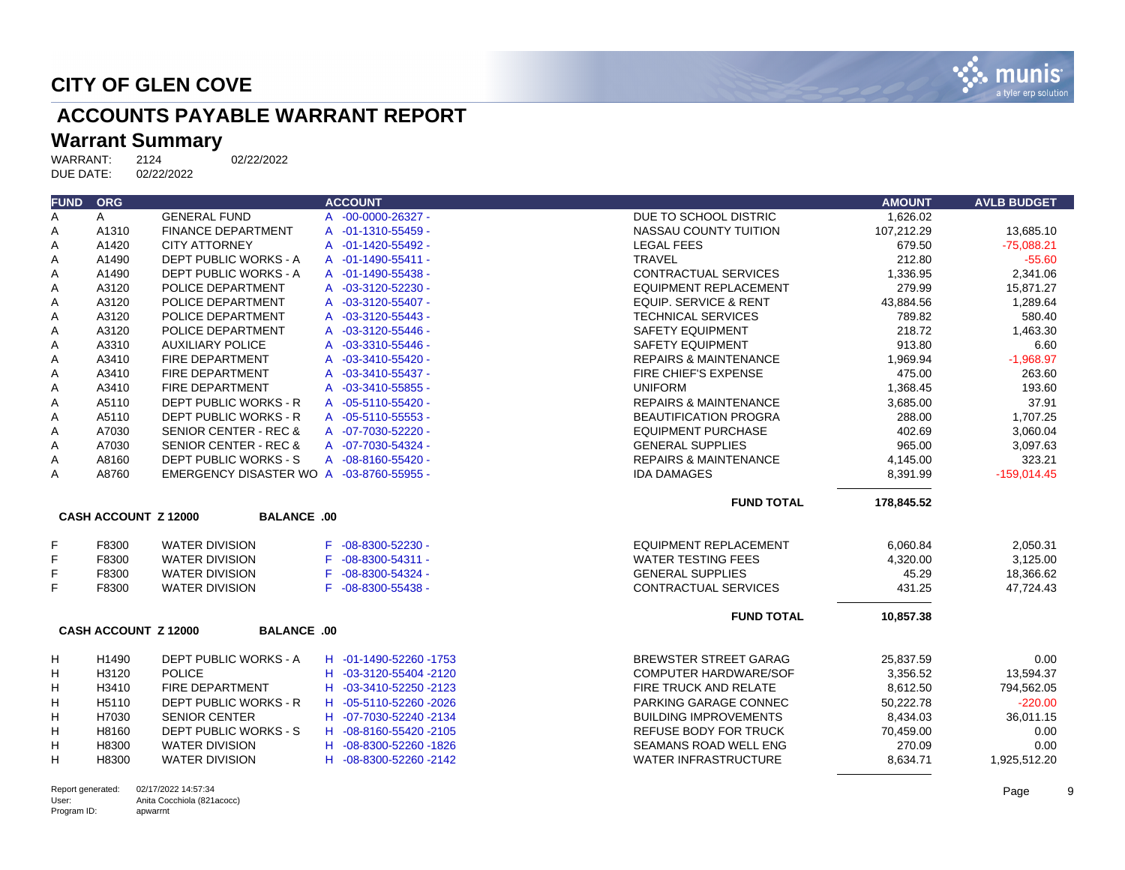

# **ACCOUNTS PAYABLE WARRANT REPORT**

# Warrant Summary<br>WARRANT: 2124

User: Program ID: Anita Cocchiola (821acocc)

apwarrnt

| <b>FUND</b> | <b>ORG</b>                  |                                          | <b>ACCOUNT</b>               |                                  | <b>AMOUNT</b> | <b>AVLB BUDGET</b> |
|-------------|-----------------------------|------------------------------------------|------------------------------|----------------------------------|---------------|--------------------|
| Α           | A                           | <b>GENERAL FUND</b>                      | A -00-0000-26327 -           | DUE TO SCHOOL DISTRIC            | 1,626.02      |                    |
| A           | A1310                       | <b>FINANCE DEPARTMENT</b>                | A -01-1310-55459 -           | NASSAU COUNTY TUITION            | 107,212.29    | 13,685.10          |
| Α           | A1420                       | <b>CITY ATTORNEY</b>                     | A -01-1420-55492 -           | <b>LEGAL FEES</b>                | 679.50        | $-75,088.21$       |
| A           | A1490                       | DEPT PUBLIC WORKS - A                    | A -01-1490-55411 -           | <b>TRAVEL</b>                    | 212.80        | $-55.60$           |
| Α           | A1490                       | DEPT PUBLIC WORKS - A                    | A -01-1490-55438 -           | <b>CONTRACTUAL SERVICES</b>      | 1,336.95      | 2,341.06           |
| Α           | A3120                       | POLICE DEPARTMENT                        | A -03-3120-52230 -           | <b>EQUIPMENT REPLACEMENT</b>     | 279.99        | 15,871.27          |
| Α           | A3120                       | POLICE DEPARTMENT                        | A -03-3120-55407 -           | EQUIP. SERVICE & RENT            | 43,884.56     | 1,289.64           |
| Α           | A3120                       | POLICE DEPARTMENT                        | A -03-3120-55443 -           | <b>TECHNICAL SERVICES</b>        | 789.82        | 580.40             |
| Α           | A3120                       | POLICE DEPARTMENT                        | A -03-3120-55446 -           | <b>SAFETY EQUIPMENT</b>          | 218.72        | 1,463.30           |
| Α           | A3310                       | <b>AUXILIARY POLICE</b>                  | A -03-3310-55446 -           | <b>SAFETY EQUIPMENT</b>          | 913.80        | 6.60               |
| Α           | A3410                       | <b>FIRE DEPARTMENT</b>                   | A -03-3410-55420 -           | <b>REPAIRS &amp; MAINTENANCE</b> | 1,969.94      | $-1,968.97$        |
| Α           | A3410                       | FIRE DEPARTMENT                          | A -03-3410-55437 -           | FIRE CHIEF'S EXPENSE             | 475.00        | 263.60             |
| Α           | A3410                       | FIRE DEPARTMENT                          | A -03-3410-55855 -           | <b>UNIFORM</b>                   | 1,368.45      | 193.60             |
| Α           | A5110                       | <b>DEPT PUBLIC WORKS - R</b>             | A -05-5110-55420 -           | <b>REPAIRS &amp; MAINTENANCE</b> | 3.685.00      | 37.91              |
| A           | A5110                       | DEPT PUBLIC WORKS - R                    | A -05-5110-55553 -           | <b>BEAUTIFICATION PROGRA</b>     | 288.00        | 1,707.25           |
| Α           | A7030                       | <b>SENIOR CENTER - REC &amp;</b>         | A -07-7030-52220 -           | <b>EQUIPMENT PURCHASE</b>        | 402.69        | 3,060.04           |
| A           | A7030                       | <b>SENIOR CENTER - REC &amp;</b>         | A -07-7030-54324 -           | <b>GENERAL SUPPLIES</b>          | 965.00        | 3,097.63           |
| Α           | A8160                       | <b>DEPT PUBLIC WORKS - S</b>             | A -08-8160-55420 -           | <b>REPAIRS &amp; MAINTENANCE</b> | 4,145.00      | 323.21             |
| A           | A8760                       | EMERGENCY DISASTER WO A -03-8760-55955 - |                              | <b>IDA DAMAGES</b>               | 8,391.99      | $-159.014.45$      |
|             |                             |                                          |                              | <b>FUND TOTAL</b>                | 178.845.52    |                    |
|             | <b>CASH ACCOUNT Z 12000</b> | <b>BALANCE .00</b>                       |                              |                                  |               |                    |
| F           | F8300                       | <b>WATER DIVISION</b>                    | F -08-8300-52230 -           | <b>EQUIPMENT REPLACEMENT</b>     | 6,060.84      | 2,050.31           |
| F           | F8300                       | <b>WATER DIVISION</b>                    | $-08 - 8300 - 54311 -$<br>F. | <b>WATER TESTING FEES</b>        | 4.320.00      | 3.125.00           |
| F           | F8300                       | <b>WATER DIVISION</b>                    | $-08 - 8300 - 54324 -$<br>F  | <b>GENERAL SUPPLIES</b>          | 45.29         | 18,366.62          |
| F           | F8300                       | <b>WATER DIVISION</b>                    | $-08 - 8300 - 55438 -$<br>F. | <b>CONTRACTUAL SERVICES</b>      | 431.25        | 47,724.43          |
|             |                             |                                          |                              | <b>FUND TOTAL</b>                | 10,857.38     |                    |
|             | <b>CASH ACCOUNT Z 12000</b> | <b>BALANCE .00</b>                       |                              |                                  |               |                    |
| н           | H1490                       | DEPT PUBLIC WORKS - A                    | H -01-1490-52260 -1753       | BREWSTER STREET GARAG            | 25.837.59     | 0.00               |
| Н           | H3120                       | <b>POLICE</b>                            | H -03-3120-55404 -2120       | <b>COMPUTER HARDWARE/SOF</b>     | 3,356.52      | 13,594.37          |
| H           | H3410                       | <b>FIRE DEPARTMENT</b>                   | H -03-3410-52250 -2123       | FIRE TRUCK AND RELATE            | 8,612.50      | 794,562.05         |
| Н           | H5110                       | DEPT PUBLIC WORKS - R                    | H -05-5110-52260 -2026       | PARKING GARAGE CONNEC            | 50,222.78     | $-220.00$          |
| H           | H7030                       | <b>SENIOR CENTER</b>                     | H -07-7030-52240 -2134       | <b>BUILDING IMPROVEMENTS</b>     | 8,434.03      | 36,011.15          |
| H           | H8160                       | <b>DEPT PUBLIC WORKS - S</b>             | H -08-8160-55420 -2105       | <b>REFUSE BODY FOR TRUCK</b>     | 70,459.00     | 0.00               |
| H           | H8300                       | <b>WATER DIVISION</b>                    | H -08-8300-52260 -1826       | <b>SEAMANS ROAD WELL ENG</b>     | 270.09        | 0.00               |
| н           | H8300                       | <b>WATER DIVISION</b>                    | H -08-8300-52260 -2142       | <b>WATER INFRASTRUCTURE</b>      | 8,634.71      | 1,925,512.20       |
|             |                             |                                          |                              |                                  |               |                    |
|             | Report generated:           | 02/17/2022 14:57:34                      |                              |                                  |               | Page               |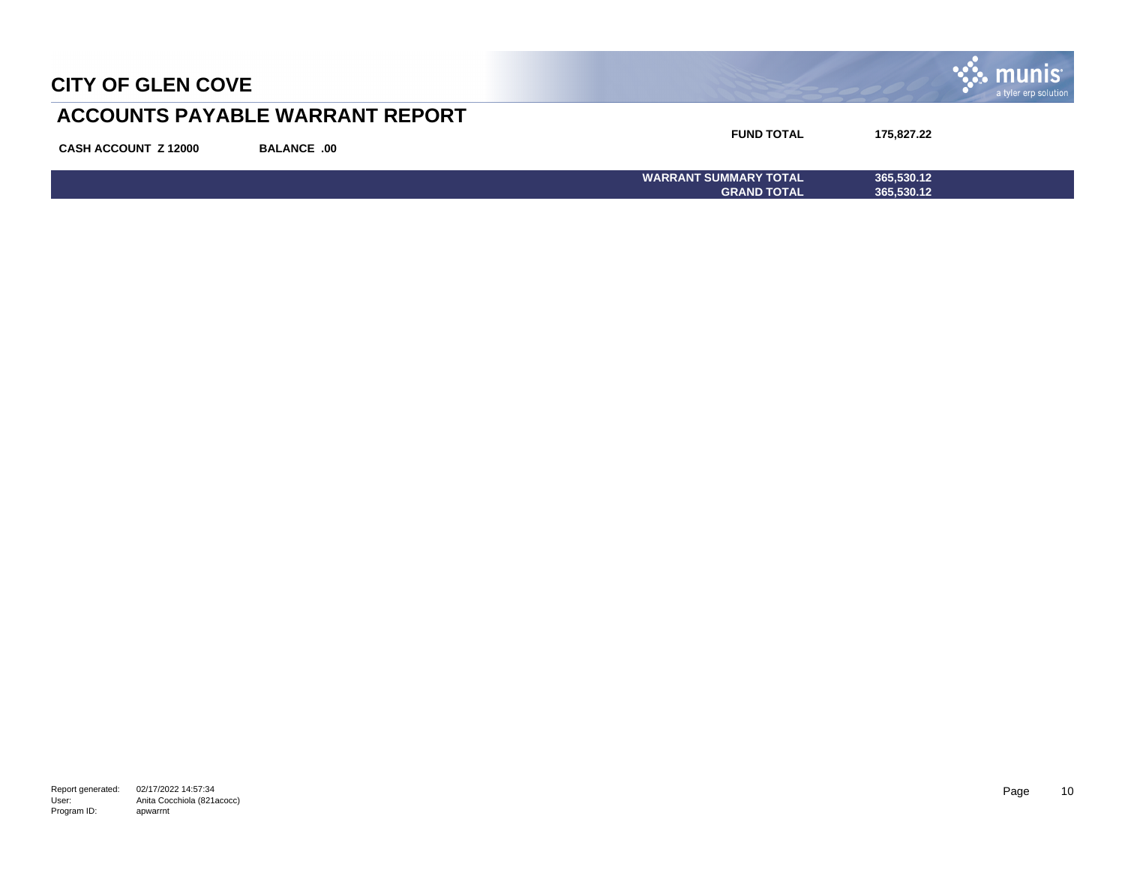| <b>CITY OF GLEN COVE</b>    |                                        |                                                    |                          | a tyler erp solution |
|-----------------------------|----------------------------------------|----------------------------------------------------|--------------------------|----------------------|
|                             | <b>ACCOUNTS PAYABLE WARRANT REPORT</b> |                                                    |                          |                      |
| <b>CASH ACCOUNT Z 12000</b> | <b>BALANCE .00</b>                     | <b>FUND TOTAL</b>                                  | 175,827.22               |                      |
|                             |                                        | <b>WARRANT SUMMARY TOTAL</b><br><b>GRAND TOTAL</b> | 365,530.12<br>365,530.12 |                      |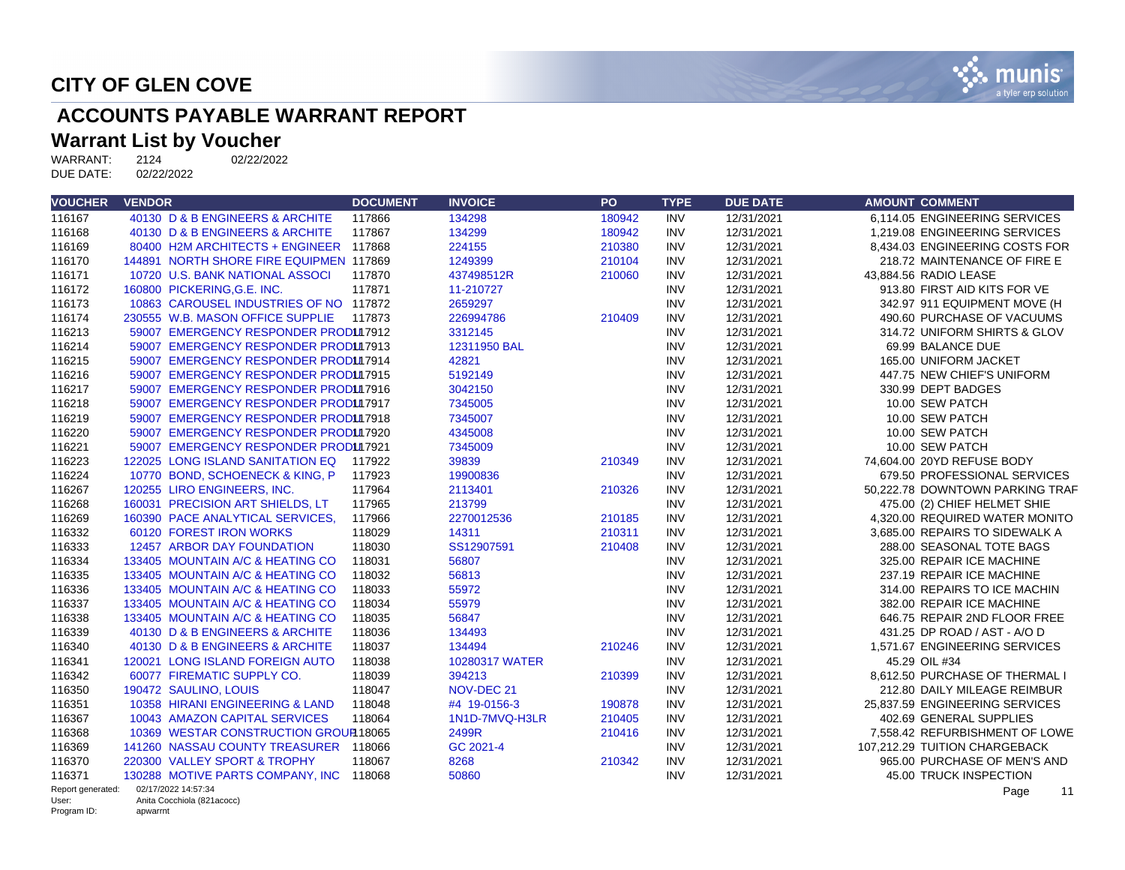

# **ACCOUNTS PAYABLE WARRANT REPORT**

# **Warrant List by Voucher**<br>WARRANT: 2124 02/22/2022

WARRANT: 2124<br>DUE DATE: 02/22/2022 DUE DATE:

| <b>VOUCHER</b>       | <b>VENDOR</b>                           | <b>DOCUMENT</b> | <b>INVOICE</b> | PO     | <b>TYPE</b> | <b>DUE DATE</b> | <b>AMOUNT COMMENT</b>           |
|----------------------|-----------------------------------------|-----------------|----------------|--------|-------------|-----------------|---------------------------------|
| 116167               | 40130 D & B ENGINEERS & ARCHITE         | 117866          | 134298         | 180942 | <b>INV</b>  | 12/31/2021      | 6.114.05 ENGINEERING SERVICES   |
| 116168               | 40130 D & B ENGINEERS & ARCHITE         | 117867          | 134299         | 180942 | <b>INV</b>  | 12/31/2021      | 1.219.08 ENGINEERING SERVICES   |
| 116169               | 80400 H2M ARCHITECTS + ENGINEER 117868  |                 | 224155         | 210380 | <b>INV</b>  | 12/31/2021      | 8.434.03 ENGINEERING COSTS FOR  |
| 116170               | 144891 NORTH SHORE FIRE EQUIPMEN 117869 |                 | 1249399        | 210104 | <b>INV</b>  | 12/31/2021      | 218.72 MAINTENANCE OF FIRE E    |
| 116171               | 10720 U.S. BANK NATIONAL ASSOCI         | 117870          | 437498512R     | 210060 | <b>INV</b>  | 12/31/2021      | 43,884.56 RADIO LEASE           |
| 116172               | 160800 PICKERING, G.E. INC.             | 117871          | 11-210727      |        | <b>INV</b>  | 12/31/2021      | 913.80 FIRST AID KITS FOR VE    |
| 116173               | 10863 CAROUSEL INDUSTRIES OF NO 117872  |                 | 2659297        |        | <b>INV</b>  | 12/31/2021      | 342.97 911 EQUIPMENT MOVE (H    |
| 116174               | 230555 W.B. MASON OFFICE SUPPLIE        | 117873          | 226994786      | 210409 | <b>INV</b>  | 12/31/2021      | 490.60 PURCHASE OF VACUUMS      |
| 116213               | 59007 EMERGENCY RESPONDER PRODUI7912    |                 | 3312145        |        | <b>INV</b>  | 12/31/2021      | 314.72 UNIFORM SHIRTS & GLOV    |
| 116214               | 59007 EMERGENCY RESPONDER PRODUI7913    |                 | 12311950 BAL   |        | <b>INV</b>  | 12/31/2021      | 69.99 BALANCE DUE               |
| 116215               | 59007 EMERGENCY RESPONDER PRODUI7914    |                 | 42821          |        | <b>INV</b>  | 12/31/2021      | 165.00 UNIFORM JACKET           |
| 116216               | 59007 EMERGENCY RESPONDER PRODUI7915    |                 | 5192149        |        | <b>INV</b>  | 12/31/2021      | 447.75 NEW CHIEF'S UNIFORM      |
| 116217               | 59007 EMERGENCY RESPONDER PRODUI7916    |                 | 3042150        |        | <b>INV</b>  | 12/31/2021      | 330.99 DEPT BADGES              |
| 116218               | 59007 EMERGENCY RESPONDER PRODUI7917    |                 | 7345005        |        | <b>INV</b>  | 12/31/2021      | 10.00 SEW PATCH                 |
| 116219               | 59007 EMERGENCY RESPONDER PRODUI7918    |                 | 7345007        |        | <b>INV</b>  | 12/31/2021      | 10.00 SEW PATCH                 |
| 116220               | 59007 EMERGENCY RESPONDER PRODUI7920    |                 | 4345008        |        | <b>INV</b>  | 12/31/2021      | 10.00 SEW PATCH                 |
| 116221               | 59007 EMERGENCY RESPONDER PRODUI7921    |                 | 7345009        |        | <b>INV</b>  | 12/31/2021      | 10.00 SEW PATCH                 |
| 116223               | 122025 LONG ISLAND SANITATION EQ        | 117922          | 39839          | 210349 | <b>INV</b>  | 12/31/2021      | 74,604.00 20YD REFUSE BODY      |
| 116224               | 10770 BOND, SCHOENECK & KING, P         | 117923          | 19900836       |        | <b>INV</b>  | 12/31/2021      | 679.50 PROFESSIONAL SERVICES    |
| 116267               | 120255 LIRO ENGINEERS, INC.             | 117964          | 2113401        | 210326 | <b>INV</b>  | 12/31/2021      | 50,222.78 DOWNTOWN PARKING TRAF |
| 116268               | 160031 PRECISION ART SHIELDS, LT        | 117965          | 213799         |        | <b>INV</b>  | 12/31/2021      | 475.00 (2) CHIEF HELMET SHIE    |
| 116269               | 160390 PACE ANALYTICAL SERVICES.        | 117966          | 2270012536     | 210185 | <b>INV</b>  | 12/31/2021      | 4.320.00 REQUIRED WATER MONITO  |
| 116332               | 60120 FOREST IRON WORKS                 | 118029          | 14311          | 210311 | <b>INV</b>  | 12/31/2021      | 3,685.00 REPAIRS TO SIDEWALK A  |
| 116333               | 12457 ARBOR DAY FOUNDATION              | 118030          | SS12907591     | 210408 | <b>INV</b>  | 12/31/2021      | 288.00 SEASONAL TOTE BAGS       |
| 116334               | 133405 MOUNTAIN A/C & HEATING CO        | 118031          | 56807          |        | <b>INV</b>  | 12/31/2021      | 325.00 REPAIR ICE MACHINE       |
| 116335               | 133405 MOUNTAIN A/C & HEATING CO        | 118032          | 56813          |        | <b>INV</b>  | 12/31/2021      | 237.19 REPAIR ICE MACHINE       |
| 116336               | 133405 MOUNTAIN A/C & HEATING CO        | 118033          | 55972          |        | <b>INV</b>  | 12/31/2021      | 314.00 REPAIRS TO ICE MACHIN    |
| 116337               | 133405 MOUNTAIN A/C & HEATING CO        | 118034          | 55979          |        | <b>INV</b>  | 12/31/2021      | 382.00 REPAIR ICE MACHINE       |
| 116338               | 133405 MOUNTAIN A/C & HEATING CO        | 118035          | 56847          |        | <b>INV</b>  | 12/31/2021      | 646.75 REPAIR 2ND FLOOR FREE    |
| 116339               | 40130 D & B ENGINEERS & ARCHITE         | 118036          | 134493         |        | <b>INV</b>  | 12/31/2021      | 431.25 DP ROAD / AST - A/O D    |
| 116340               | 40130 D & B ENGINEERS & ARCHITE         | 118037          | 134494         | 210246 | <b>INV</b>  | 12/31/2021      | 1.571.67 ENGINEERING SERVICES   |
| 116341               | 120021 LONG ISLAND FOREIGN AUTO         | 118038          | 10280317 WATER |        | <b>INV</b>  | 12/31/2021      | 45.29 OIL #34                   |
| 116342               | 60077 FIREMATIC SUPPLY CO.              | 118039          | 394213         | 210399 | <b>INV</b>  | 12/31/2021      | 8,612.50 PURCHASE OF THERMAL I  |
| 116350               | 190472 SAULINO, LOUIS                   | 118047          | NOV-DEC 21     |        | <b>INV</b>  | 12/31/2021      | 212.80 DAILY MILEAGE REIMBUR    |
| 116351               | 10358 HIRANI ENGINEERING & LAND         | 118048          | #4 19-0156-3   | 190878 | <b>INV</b>  | 12/31/2021      | 25,837.59 ENGINEERING SERVICES  |
| 116367               | 10043 AMAZON CAPITAL SERVICES           | 118064          | 1N1D-7MVQ-H3LR | 210405 | <b>INV</b>  | 12/31/2021      | 402.69 GENERAL SUPPLIES         |
| 116368               | 10369 WESTAR CONSTRUCTION GROUP 18065   |                 | 2499R          | 210416 | <b>INV</b>  | 12/31/2021      | 7,558.42 REFURBISHMENT OF LOWE  |
| 116369               | 141260 NASSAU COUNTY TREASURER 118066   |                 | GC 2021-4      |        | <b>INV</b>  | 12/31/2021      | 107,212.29 TUITION CHARGEBACK   |
| 116370               | 220300 VALLEY SPORT & TROPHY            | 118067          | 8268           | 210342 | <b>INV</b>  | 12/31/2021      | 965.00 PURCHASE OF MEN'S AND    |
| 116371               | 130288 MOTIVE PARTS COMPANY, INC 118068 |                 | 50860          |        | <b>INV</b>  | 12/31/2021      | 45.00 TRUCK INSPECTION          |
| Report generated:    | 02/17/2022 14:57:34                     |                 |                |        |             |                 | 11<br>Page                      |
| User:<br>Program ID: | Anita Cocchiola (821acocc)<br>apwarrnt  |                 |                |        |             |                 |                                 |